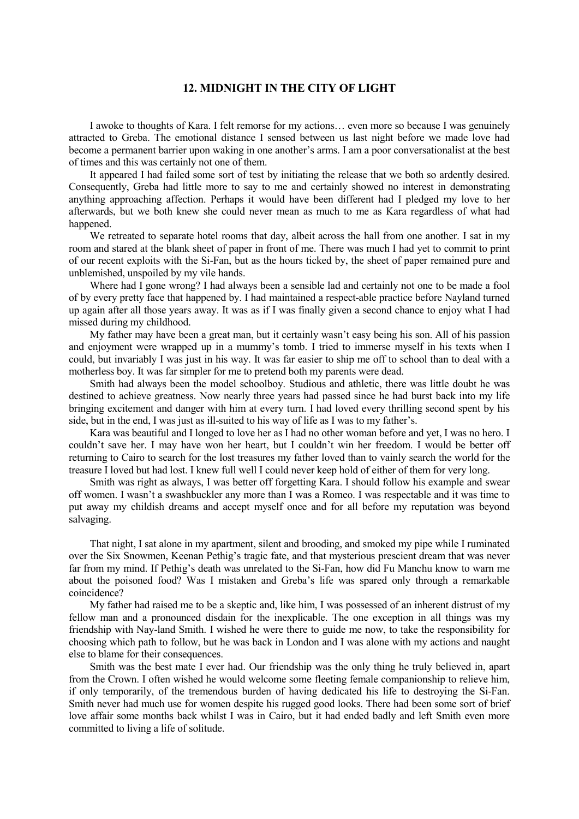## **12. MIDNIGHT IN THE CITY OF LIGHT**

I awoke to thoughts of Kara. I felt remorse for my actions… even more so because I was genuinely attracted to Greba. The emotional distance I sensed between us last night before we made love had become a permanent barrier upon waking in one another's arms. I am a poor conversationalist at the best of times and this was certainly not one of them.

It appeared I had failed some sort of test by initiating the release that we both so ardently desired. Consequently, Greba had little more to say to me and certainly showed no interest in demonstrating anything approaching affection. Perhaps it would have been different had I pledged my love to her afterwards, but we both knew she could never mean as much to me as Kara regardless of what had happened.

We retreated to separate hotel rooms that day, albeit across the hall from one another. I sat in my room and stared at the blank sheet of paper in front of me. There was much I had yet to commit to print of our recent exploits with the Si-Fan, but as the hours ticked by, the sheet of paper remained pure and unblemished, unspoiled by my vile hands.

Where had I gone wrong? I had always been a sensible lad and certainly not one to be made a fool of by every pretty face that happened by. I had maintained a respect-able practice before Nayland turned up again after all those years away. It was as if I was finally given a second chance to enjoy what I had missed during my childhood.

My father may have been a great man, but it certainly wasn't easy being his son. All of his passion and enjoyment were wrapped up in a mummy's tomb. I tried to immerse myself in his texts when I could, but invariably I was just in his way. It was far easier to ship me off to school than to deal with a motherless boy. It was far simpler for me to pretend both my parents were dead.

Smith had always been the model schoolboy. Studious and athletic, there was little doubt he was destined to achieve greatness. Now nearly three years had passed since he had burst back into my life bringing excitement and danger with him at every turn. I had loved every thrilling second spent by his side, but in the end, I was just as ill-suited to his way of life as I was to my father's.

Kara was beautiful and I longed to love her as I had no other woman before and yet, I was no hero. I couldn't save her. I may have won her heart, but I couldn't win her freedom. I would be better off returning to Cairo to search for the lost treasures my father loved than to vainly search the world for the treasure I loved but had lost. I knew full well I could never keep hold of either of them for very long.

Smith was right as always, I was better off forgetting Kara. I should follow his example and swear off women. I wasn't a swashbuckler any more than I was a Romeo. I was respectable and it was time to put away my childish dreams and accept myself once and for all before my reputation was beyond salvaging.

That night, I sat alone in my apartment, silent and brooding, and smoked my pipe while I ruminated over the Six Snowmen, Keenan Pethig's tragic fate, and that mysterious prescient dream that was never far from my mind. If Pethig's death was unrelated to the Si-Fan, how did Fu Manchu know to warn me about the poisoned food? Was I mistaken and Greba's life was spared only through a remarkable coincidence?

My father had raised me to be a skeptic and, like him, I was possessed of an inherent distrust of my fellow man and a pronounced disdain for the inexplicable. The one exception in all things was my friendship with Nay-land Smith. I wished he were there to guide me now, to take the responsibility for choosing which path to follow, but he was back in London and I was alone with my actions and naught else to blame for their consequences.

Smith was the best mate I ever had. Our friendship was the only thing he truly believed in, apart from the Crown. I often wished he would welcome some fleeting female companionship to relieve him, if only temporarily, of the tremendous burden of having dedicated his life to destroying the Si-Fan. Smith never had much use for women despite his rugged good looks. There had been some sort of brief love affair some months back whilst I was in Cairo, but it had ended badly and left Smith even more committed to living a life of solitude.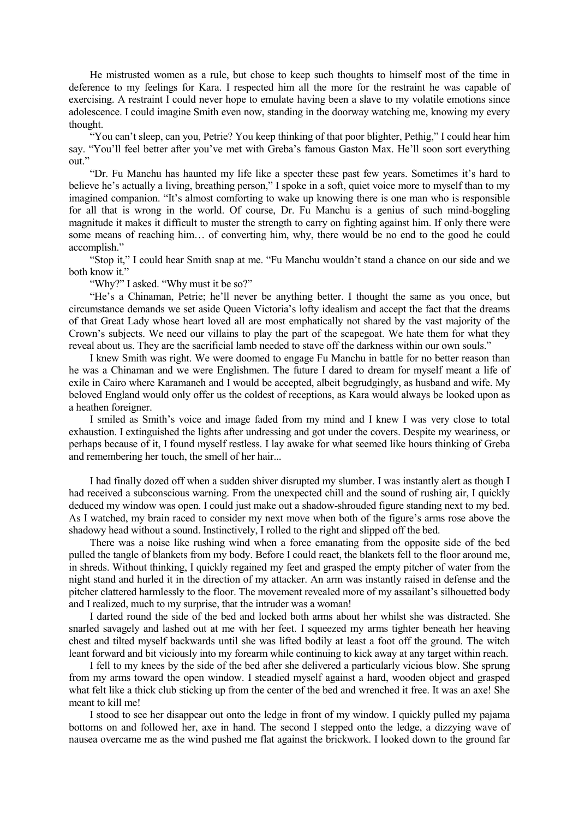He mistrusted women as a rule, but chose to keep such thoughts to himself most of the time in deference to my feelings for Kara. I respected him all the more for the restraint he was capable of exercising. A restraint I could never hope to emulate having been a slave to my volatile emotions since adolescence. I could imagine Smith even now, standing in the doorway watching me, knowing my every thought.

"You can't sleep, can you, Petrie? You keep thinking of that poor blighter, Pethig," I could hear him say. "You'll feel better after you've met with Greba's famous Gaston Max. He'll soon sort everything out."

"Dr. Fu Manchu has haunted my life like a specter these past few years. Sometimes it's hard to believe he's actually a living, breathing person," I spoke in a soft, quiet voice more to myself than to my imagined companion. "It's almost comforting to wake up knowing there is one man who is responsible for all that is wrong in the world. Of course, Dr. Fu Manchu is a genius of such mind-boggling magnitude it makes it difficult to muster the strength to carry on fighting against him. If only there were some means of reaching him… of converting him, why, there would be no end to the good he could accomplish."

"Stop it," I could hear Smith snap at me. "Fu Manchu wouldn't stand a chance on our side and we both know it."

"Why?" I asked. "Why must it be so?"

"He's a Chinaman, Petrie; he'll never be anything better. I thought the same as you once, but circumstance demands we set aside Queen Victoria's lofty idealism and accept the fact that the dreams of that Great Lady whose heart loved all are most emphatically not shared by the vast majority of the Crown's subjects. We need our villains to play the part of the scapegoat. We hate them for what they reveal about us. They are the sacrificial lamb needed to stave off the darkness within our own souls."

I knew Smith was right. We were doomed to engage Fu Manchu in battle for no better reason than he was a Chinaman and we were Englishmen. The future I dared to dream for myself meant a life of exile in Cairo where Karamaneh and I would be accepted, albeit begrudgingly, as husband and wife. My beloved England would only offer us the coldest of receptions, as Kara would always be looked upon as a heathen foreigner.

I smiled as Smith's voice and image faded from my mind and I knew I was very close to total exhaustion. I extinguished the lights after undressing and got under the covers. Despite my weariness, or perhaps because of it, I found myself restless. I lay awake for what seemed like hours thinking of Greba and remembering her touch, the smell of her hair...

I had finally dozed off when a sudden shiver disrupted my slumber. I was instantly alert as though I had received a subconscious warning. From the unexpected chill and the sound of rushing air, I quickly deduced my window was open. I could just make out a shadow-shrouded figure standing next to my bed. As I watched, my brain raced to consider my next move when both of the figure's arms rose above the shadowy head without a sound. Instinctively, I rolled to the right and slipped off the bed.

There was a noise like rushing wind when a force emanating from the opposite side of the bed pulled the tangle of blankets from my body. Before I could react, the blankets fell to the floor around me, in shreds. Without thinking, I quickly regained my feet and grasped the empty pitcher of water from the night stand and hurled it in the direction of my attacker. An arm was instantly raised in defense and the pitcher clattered harmlessly to the floor. The movement revealed more of my assailant's silhouetted body and I realized, much to my surprise, that the intruder was a woman!

I darted round the side of the bed and locked both arms about her whilst she was distracted. She snarled savagely and lashed out at me with her feet. I squeezed my arms tighter beneath her heaving chest and tilted myself backwards until she was lifted bodily at least a foot off the ground. The witch leant forward and bit viciously into my forearm while continuing to kick away at any target within reach.

I fell to my knees by the side of the bed after she delivered a particularly vicious blow. She sprung from my arms toward the open window. I steadied myself against a hard, wooden object and grasped what felt like a thick club sticking up from the center of the bed and wrenched it free. It was an axe! She meant to kill me!

I stood to see her disappear out onto the ledge in front of my window. I quickly pulled my pajama bottoms on and followed her, axe in hand. The second I stepped onto the ledge, a dizzying wave of nausea overcame me as the wind pushed me flat against the brickwork. I looked down to the ground far